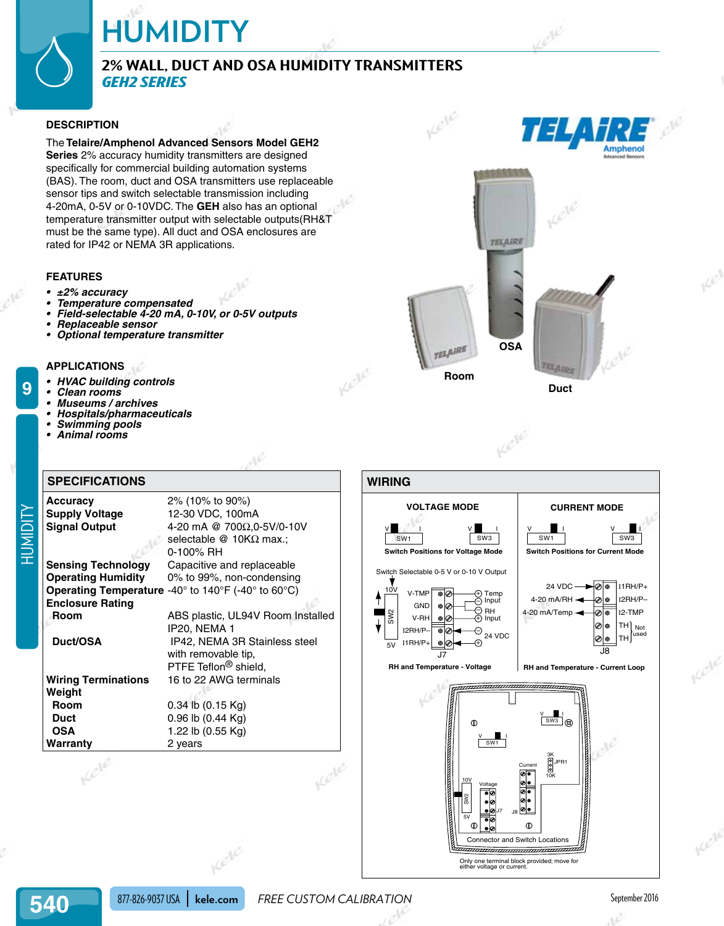# **HUMIDITY**

# **2% Wall, Duct and OSA Humidity Transmitters** *GEH2 Series*

### **DESCRIPTION**

The **Telaire/Amphenol Advanced Sensors Model GEH2 Series** 2% accuracy humidity transmitters are designed specifically for commercial building automation systems (BAS). The room, duct and OSA transmitters use replaceable sensor tips and switch selectable transmission including 4-20mA, 0-5V or 0-10VDC. The **GEH** also has an optional temperature transmitter output with selectable outputs(RH&T must be the same type). All duct and OSA enclosures are rated for IP42 or NEMA 3R applications.

#### **FEATURES**

- **• ±2% accuracy**
- **• Temperature compensated**
- **• Field-selectable 4-20 mA, 0-10V, or 0-5V outputs**
- **• Replaceable sensor**
- **• Optional temperature transmitter**

#### **APPLICATIONS**

- **HVAC** building controls
- **• Clean rooms**

**9**

- **• Museums / archives**
- **• Hospitals/pharmaceuticals**
- **• Swimming pools**
- **• Animal rooms**

# **SPECIFICATIONS**

| <b>Accuracy</b>            | 2% (10% to 90%)                                                                                     |
|----------------------------|-----------------------------------------------------------------------------------------------------|
| <b>Supply Voltage</b>      | 12-30 VDC, 100mA                                                                                    |
| <b>Signal Output</b>       | 4-20 mA @ 700Ω,0-5V/0-10V                                                                           |
|                            | selectable @ 10KΩ max.:                                                                             |
|                            | 0-100% RH                                                                                           |
| <b>Sensing Technology</b>  | Capacitive and replaceable                                                                          |
| <b>Operating Humidity</b>  | 0% to 99%, non-condensing                                                                           |
|                            | <b>Operating Temperature</b> -40 $^{\circ}$ to 140 $^{\circ}$ F (-40 $^{\circ}$ to 60 $^{\circ}$ C) |
| <b>Enclosure Rating</b>    |                                                                                                     |
| Room                       | ABS plastic, UL94V Room Installed                                                                   |
|                            | IP20, NEMA 1                                                                                        |
| Duct/OSA                   | IP42, NEMA 3R Stainless steel                                                                       |
|                            | with removable tip,                                                                                 |
|                            | PTFE Teflon <sup>®</sup> shield,                                                                    |
| <b>Wiring Terminations</b> | 16 to 22 AWG terminals                                                                              |
| Weight                     |                                                                                                     |
| Room                       | $0.34$ lb $(0.15$ Kg)                                                                               |
| <b>Duct</b>                | 0.96 lb (0.44 Kg)                                                                                   |
| <b>OSA</b>                 | 1.22 lb (0.55 Kg)                                                                                   |
| Warranty                   | 2 years                                                                                             |
| cele                       |                                                                                                     |
|                            | Kele                                                                                                |
| 877-826-9037 USA           | <b>FREE CUSTOM</b><br>kele.com                                                                      |

36





Only one terminal block provided; move for either voltage or current.

Kele

Kele

 **Duct**

877-826-9037 USA **kele.com** FREE CUSTOM CALIBRATION **FREE CUSTOM CALIBRATION** 

Kele

LeVe

Lete